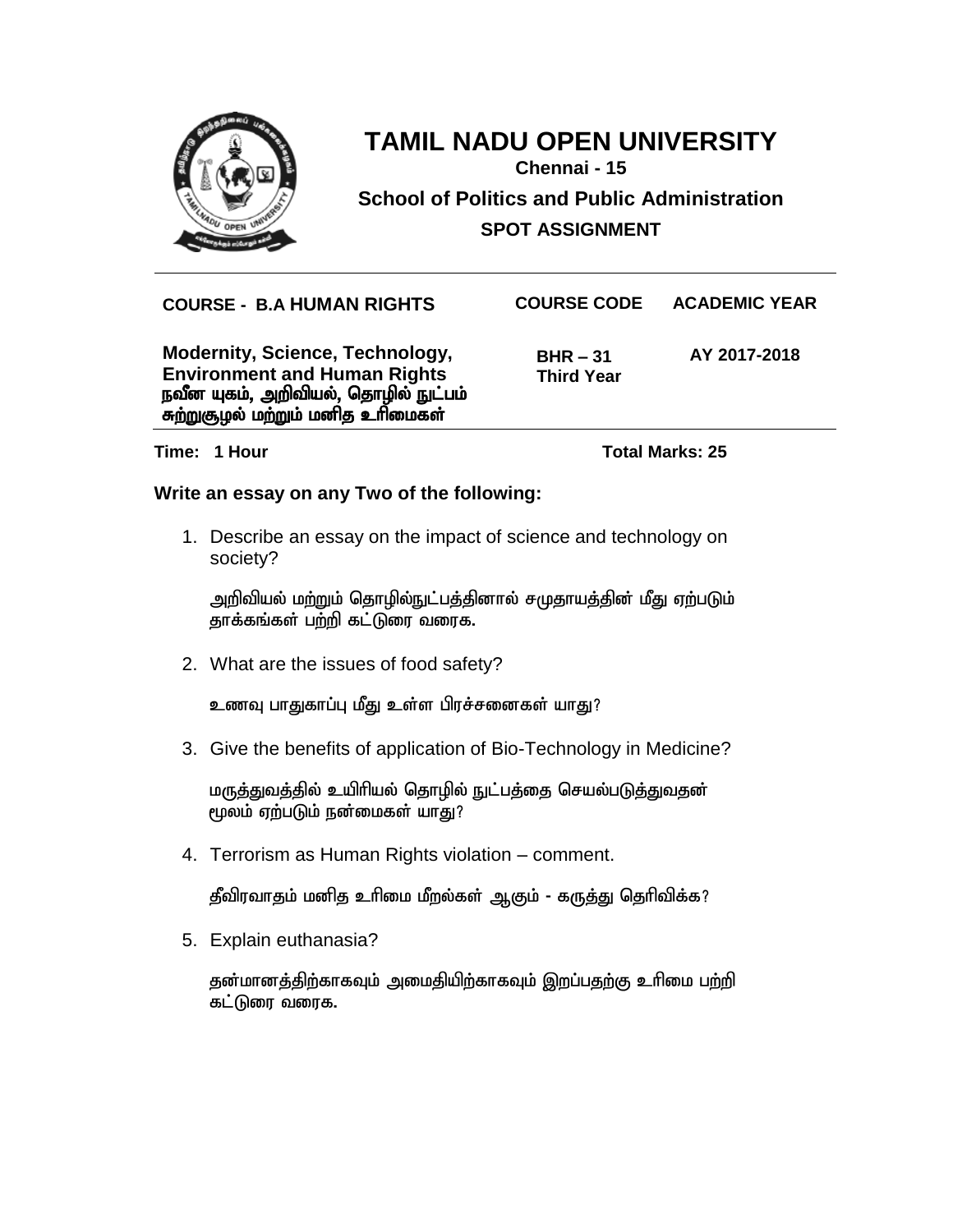

**Chennai - 15**

**School of Politics and Public Administration SPOT ASSIGNMENT**

> **BHR – 31 Third Year**

**COURSE - B.A HUMAN RIGHTS COURSE CODE ACADEMIC YEAR**

**Modernity, Science, Technology, Environment and Human Rights** நவீன யுகம், அறிவியல், தொழில் நுட்பம் சுற்றுசூழல் மற்றும் மனித உரிமைகள்

**AY 2017-2018**

**Time: 1 Hour Total Marks: 25**

### **Write an essay on any Two of the following:**

1. Describe an essay on the impact of science and technology on society?

அறிவியல் மற்றும் தொழில்நுட்பத்தினால் சமுதாயத்தின் மீது ஏற்படும் தாக்கங்கள் பற்றி கட்டுரை வரைக.

2. What are the issues of food safety?

உணவு பாதுகாப்பு மீது உள்ள பிரச்சனைகள் யாது?

3. Give the benefits of application of Bio-Technology in Medicine?

மருத்துவத்தில் உயிரியல் தொழில் நுட்பத்தை செயல்படுத்துவதன் மூலம் ஏற்படும் நன்மைகள் யாது?

4. Terrorism as Human Rights violation – comment.

தீவிரவாதம் மனித உரிமை மீறல்கள் ஆகும் - கருத்து தெரிவிக்க?

5. Explain euthanasia?

தன்மானத்திற்காகவும் அமைதியிற்காகவும் இறப்பதற்கு உரிமை பற்றி கட்டுரை வரைக.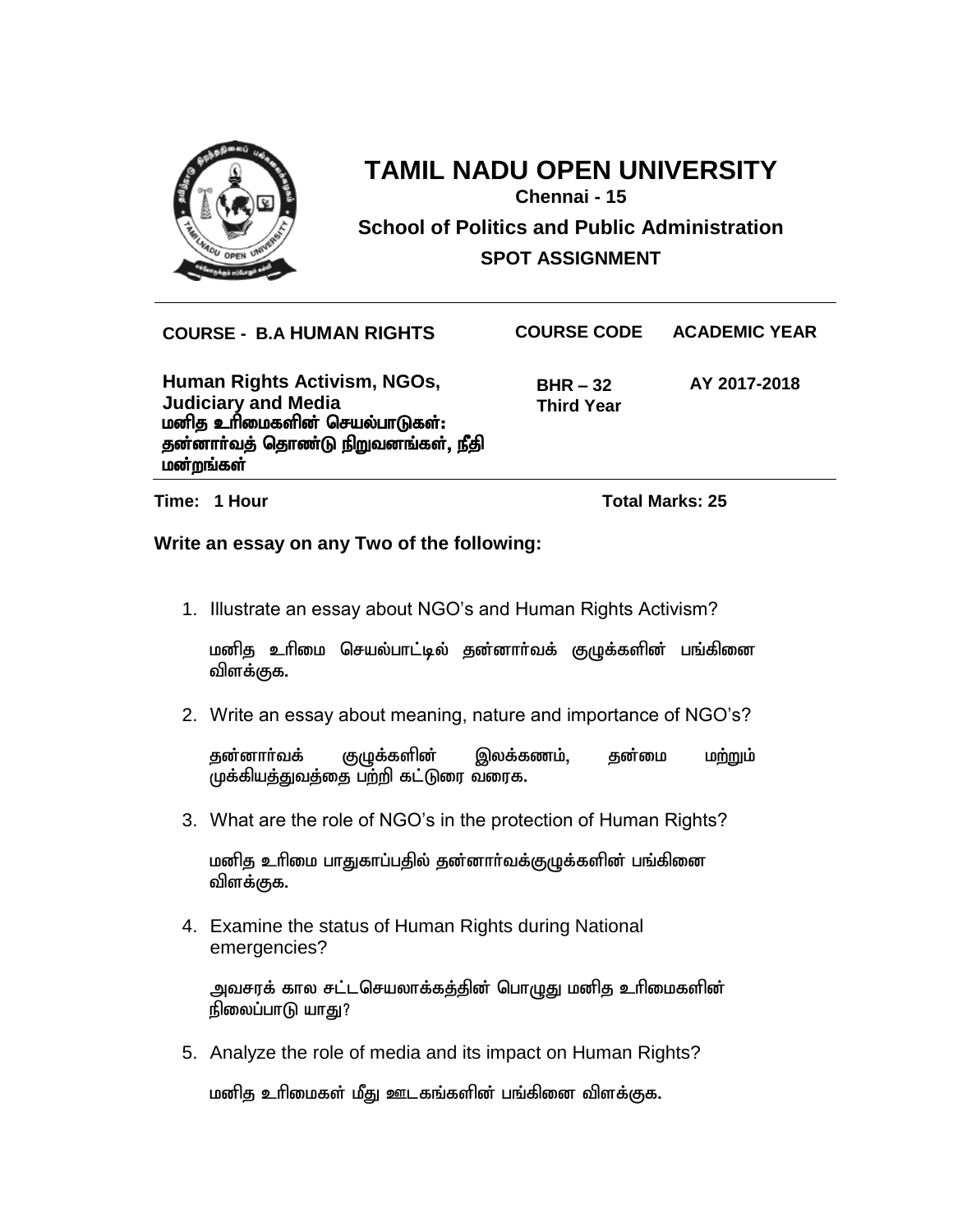

## **TAMIL NADU OPEN UNIVERSITY Chennai - 15 School of Politics and Public Administration SPOT ASSIGNMENT**

**COURSE - B.A HUMAN RIGHTS COURSE CODE ACADEMIC YEAR**

**Human Rights Activism, NGOs, Judiciary and Media** மனித உரிமைகளின் செயல்பாடுகள்: தன்னாா்வத் தொண்டு நிறுவனங்கள், நீதி மன்றங்கள்

 **BHR – 32 Third Year** **AY 2017-2018**

**Time: 1 Hour Total Marks: 25**

**Write an essay on any Two of the following:** 

1. Illustrate an essay about NGO's and Human Rights Activism?

மனித உரிமை செயல்பாட்டில் தன்னார்வக் குழுக்களின் பங்கினை விளக்குக.

2. Write an essay about meaning, nature and importance of NGO's?

தன்னாா்வக் குழுக்களின் இலக்கணம், தன்மை மற்றும் முக்கியத்துவத்தை பற்றி கட்டுரை வரைக.

3. What are the role of NGO's in the protection of Human Rights?

மனித உரிமை பாதுகாப்பதில் தன்னார்வக்குழுக்களின் பங்கினை விளக்குக.

4. Examine the status of Human Rights during National emergencies?

அவசரக் கால சட்டசெயலாக்கத்தின் பொழுது மனித உரிமைகளின் நிலைப்பாடு யாது?

5. Analyze the role of media and its impact on Human Rights?

மனித உரிமைகள் மீது ஊடகங்களின் பங்கினை விளக்குக.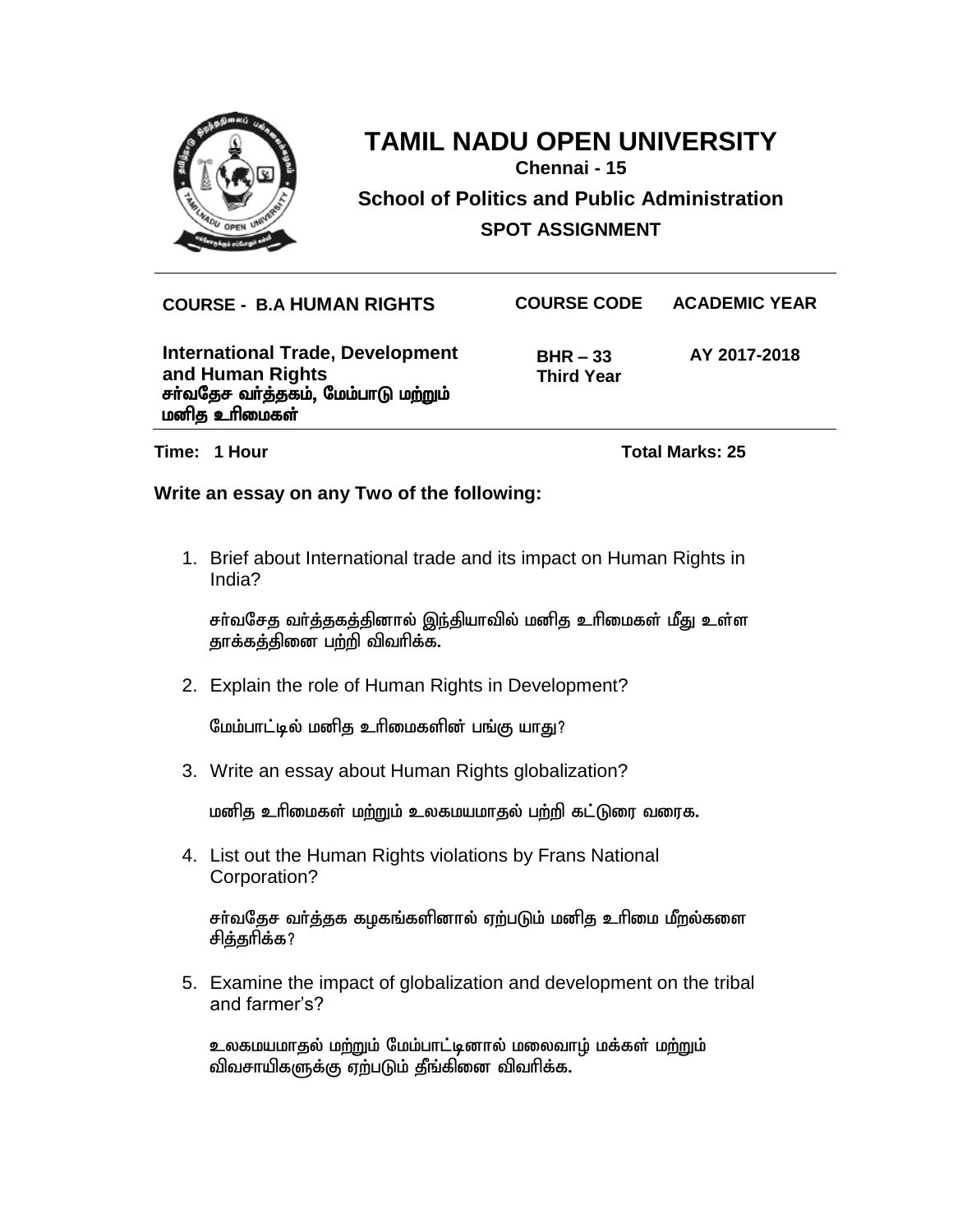

**Chennai - 15**

**School of Politics and Public Administration SPOT ASSIGNMENT**

**COURSE - B.A HUMAN RIGHTS COURSE CODE ACADEMIC YEAR**

**International Trade, Development and Human Rights** சர்வதேச வர்த்தகம், மேம்பாடு மற்றும் மனித உரிமைகள்

 **BHR – 33 Third Year** **AY 2017-2018**

**Time: 1 Hour Total Marks: 25** 

### **Write an essay on any Two of the following:**

1. Brief about International trade and its impact on Human Rights in India?

சர்வசேத வர்த்தகத்தினால் இந்தியாவில் மனித உரிமைகள் மீது உள்ள தாக்கத்தினை பற்றி விவரிக்க.

2. Explain the role of Human Rights in Development?

மேம்பாட்டில் மனித உரிமைகளின் பங்கு யாது?

3. Write an essay about Human Rights globalization?

மனித உரிமைகள் மற்றும் உலகமயமாதல் பற்றி கட்டுரை வரைக.

4. List out the Human Rights violations by Frans National Corporation?

சர்வதேச வர்த்தக கழகங்களினால் ஏற்படும் மனித உரிமை மீறல்களை சித்தரிக்க?

5. Examine the impact of globalization and development on the tribal and farmer's?

உலகமயமாகுல் மற்றும் மேம்பாட்டினால் மலைவாம் மக்கள் மற்றும் விவசாயிகளுக்கு ஏற்படும் தீங்கினை விவரிக்க.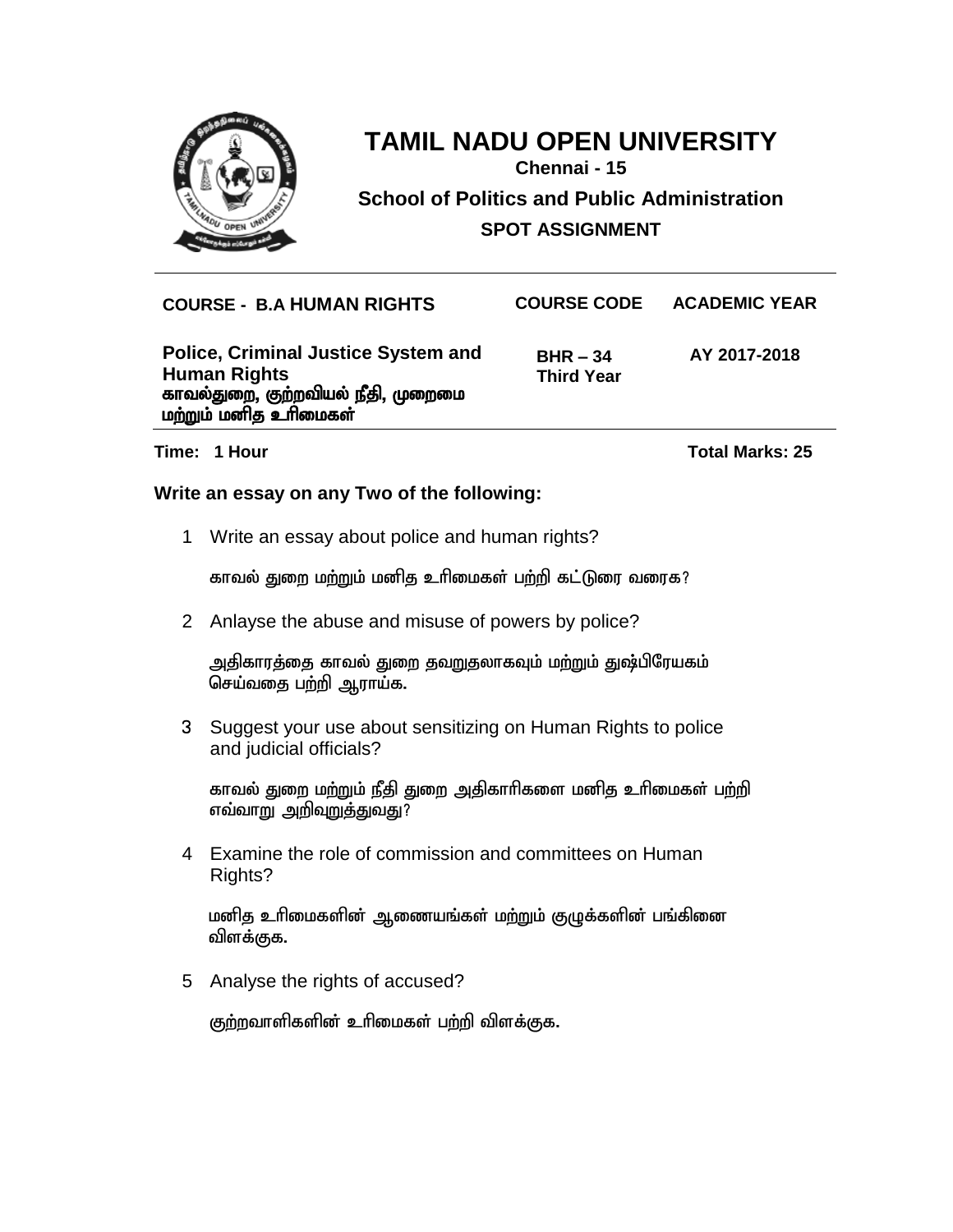

**Chennai - 15**

**School of Politics and Public Administration SPOT ASSIGNMENT**

**COURSE - B.A HUMAN RIGHTS COURSE CODE ACADEMIC YEAR**

**Police, Criminal Justice System and Human Rights** காவல்துறை, கு<u>ற்</u>றவியல் நீதி, முறைமை மற்றும் மனித உரிமைகள்

 **BHR – 34 Third Year** **AY 2017-2018**

**Time: 1 Hour Total Marks: 25**

### **Write an essay on any Two of the following:**

1 Write an essay about police and human rights?

<u>காவல் துறை மற்றும் மனித உரிமைகள் பற்றி கட்டுரை வரைக?</u>

2 Anlayse the abuse and misuse of powers by police?

அதிகாரத்தை காவல் துறை தவறுதலாகவும் மற்றும் துஷ்பிரேயகம் செய்வதை பற்றி ஆராய்க.

3 Suggest your use about sensitizing on Human Rights to police and judicial officials?

காவல் துறை மற்றும் நீதி துறை அதிகாரிகளை மனித உரிமைகள் பற்றி <u>எவ்வாறு அறிவுறுத்துவது?</u>

4 Examine the role of commission and committees on Human Rights?

மனித உரிமைகளின் ஆணையங்கள் மற்றும் குழுக்களின் பங்கினை விளக்குக.

5 Analyse the rights of accused?

குற்றவாளிகளின் உரிமைகள் பற்றி விளக்குக.